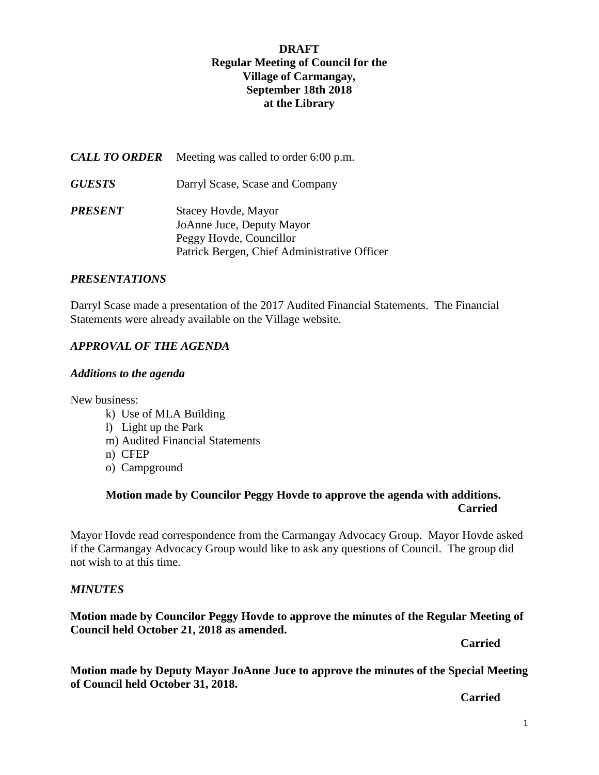# **DRAFT Regular Meeting of Council for the Village of Carmangay, September 18th 2018 at the Library**

| <b>CALL TO ORDER</b> | Meeting was called to order 6:00 p.m.                                                                                       |
|----------------------|-----------------------------------------------------------------------------------------------------------------------------|
| <b>GUESTS</b>        | Darryl Scase, Scase and Company                                                                                             |
| PRESENT              | Stacey Hovde, Mayor<br>JoAnne Juce, Deputy Mayor<br>Peggy Hovde, Councillor<br>Patrick Bergen, Chief Administrative Officer |

#### *PRESENTATIONS*

Darryl Scase made a presentation of the 2017 Audited Financial Statements. The Financial Statements were already available on the Village website.

# *APPROVAL OF THE AGENDA*

#### *Additions to the agenda*

New business:

- k) Use of MLA Building
- l) Light up the Park
- m) Audited Financial Statements
- n) CFEP
- o) Campground

# **Motion made by Councilor Peggy Hovde to approve the agenda with additions. Carried**

Mayor Hovde read correspondence from the Carmangay Advocacy Group. Mayor Hovde asked if the Carmangay Advocacy Group would like to ask any questions of Council. The group did not wish to at this time.

#### *MINUTES*

# **Motion made by Councilor Peggy Hovde to approve the minutes of the Regular Meeting of Council held October 21, 2018 as amended.**

*Carried* 

**Motion made by Deputy Mayor JoAnne Juce to approve the minutes of the Special Meeting of Council held October 31, 2018.**

*Carried*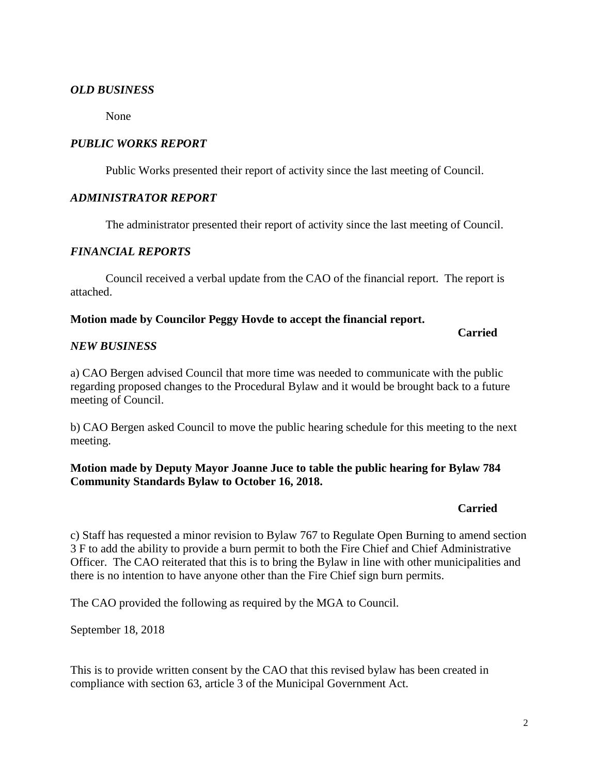# *OLD BUSINESS*

None

# *PUBLIC WORKS REPORT*

Public Works presented their report of activity since the last meeting of Council.

# *ADMINISTRATOR REPORT*

The administrator presented their report of activity since the last meeting of Council.

# *FINANCIAL REPORTS*

Council received a verbal update from the CAO of the financial report. The report is attached.

#### **Motion made by Councilor Peggy Hovde to accept the financial report.**

# *NEW BUSINESS*

a) CAO Bergen advised Council that more time was needed to communicate with the public regarding proposed changes to the Procedural Bylaw and it would be brought back to a future meeting of Council.

b) CAO Bergen asked Council to move the public hearing schedule for this meeting to the next meeting.

# **Motion made by Deputy Mayor Joanne Juce to table the public hearing for Bylaw 784 Community Standards Bylaw to October 16, 2018.**

#### **Carried**

**Carried**

c) Staff has requested a minor revision to Bylaw 767 to Regulate Open Burning to amend section 3 F to add the ability to provide a burn permit to both the Fire Chief and Chief Administrative Officer. The CAO reiterated that this is to bring the Bylaw in line with other municipalities and there is no intention to have anyone other than the Fire Chief sign burn permits.

The CAO provided the following as required by the MGA to Council.

September 18, 2018

This is to provide written consent by the CAO that this revised bylaw has been created in compliance with section 63, article 3 of the Municipal Government Act.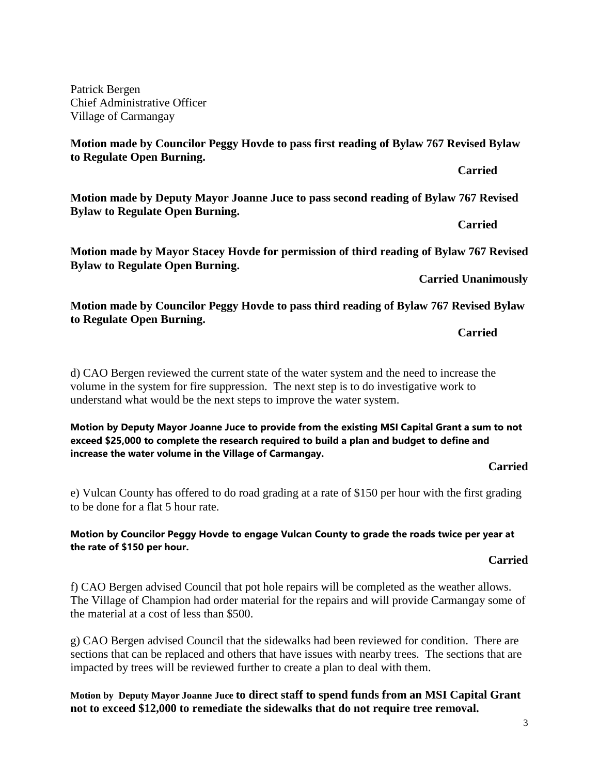3

Patrick Bergen Chief Administrative Officer Village of Carmangay

**Motion made by Councilor Peggy Hovde to pass first reading of Bylaw 767 Revised Bylaw to Regulate Open Burning.**

**Motion made by Deputy Mayor Joanne Juce to pass second reading of Bylaw 767 Revised Bylaw to Regulate Open Burning.**

**Carried**

**Carried**

**Motion made by Mayor Stacey Hovde for permission of third reading of Bylaw 767 Revised Bylaw to Regulate Open Burning.**

**Carried Unanimously**

**Motion made by Councilor Peggy Hovde to pass third reading of Bylaw 767 Revised Bylaw to Regulate Open Burning.**

**Carried**

d) CAO Bergen reviewed the current state of the water system and the need to increase the volume in the system for fire suppression. The next step is to do investigative work to understand what would be the next steps to improve the water system.

**Motion by Deputy Mayor Joanne Juce to provide from the existing MSI Capital Grant a sum to not exceed \$25,000 to complete the research required to build a plan and budget to define and increase the water volume in the Village of Carmangay.**

**Carried**

e) Vulcan County has offered to do road grading at a rate of \$150 per hour with the first grading to be done for a flat 5 hour rate.

# **Motion by Councilor Peggy Hovde to engage Vulcan County to grade the roads twice per year at the rate of \$150 per hour.**

**Carried**

f) CAO Bergen advised Council that pot hole repairs will be completed as the weather allows. The Village of Champion had order material for the repairs and will provide Carmangay some of the material at a cost of less than \$500.

g) CAO Bergen advised Council that the sidewalks had been reviewed for condition. There are sections that can be replaced and others that have issues with nearby trees. The sections that are impacted by trees will be reviewed further to create a plan to deal with them.

**Motion by Deputy Mayor Joanne Juce to direct staff to spend funds from an MSI Capital Grant not to exceed \$12,000 to remediate the sidewalks that do not require tree removal.**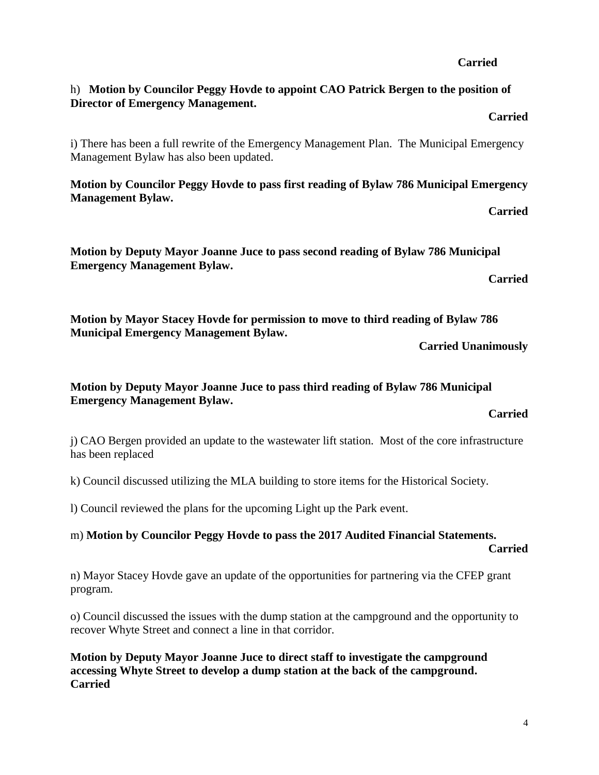# h) **Motion by Councilor Peggy Hovde to appoint CAO Patrick Bergen to the position of Director of Emergency Management.**

# **Carried**

**Carried**

i) There has been a full rewrite of the Emergency Management Plan. The Municipal Emergency Management Bylaw has also been updated.

**Motion by Councilor Peggy Hovde to pass first reading of Bylaw 786 Municipal Emergency Management Bylaw.**

**Carried**

**Motion by Deputy Mayor Joanne Juce to pass second reading of Bylaw 786 Municipal Emergency Management Bylaw.**

**Carried**

**Motion by Mayor Stacey Hovde for permission to move to third reading of Bylaw 786 Municipal Emergency Management Bylaw.**

**Carried Unanimously**

# **Motion by Deputy Mayor Joanne Juce to pass third reading of Bylaw 786 Municipal Emergency Management Bylaw.**

**Carried**

j) CAO Bergen provided an update to the wastewater lift station. Most of the core infrastructure has been replaced

k) Council discussed utilizing the MLA building to store items for the Historical Society.

l) Council reviewed the plans for the upcoming Light up the Park event.

# m) **Motion by Councilor Peggy Hovde to pass the 2017 Audited Financial Statements.**

**Carried**

n) Mayor Stacey Hovde gave an update of the opportunities for partnering via the CFEP grant program.

o) Council discussed the issues with the dump station at the campground and the opportunity to recover Whyte Street and connect a line in that corridor.

**Motion by Deputy Mayor Joanne Juce to direct staff to investigate the campground accessing Whyte Street to develop a dump station at the back of the campground. Carried**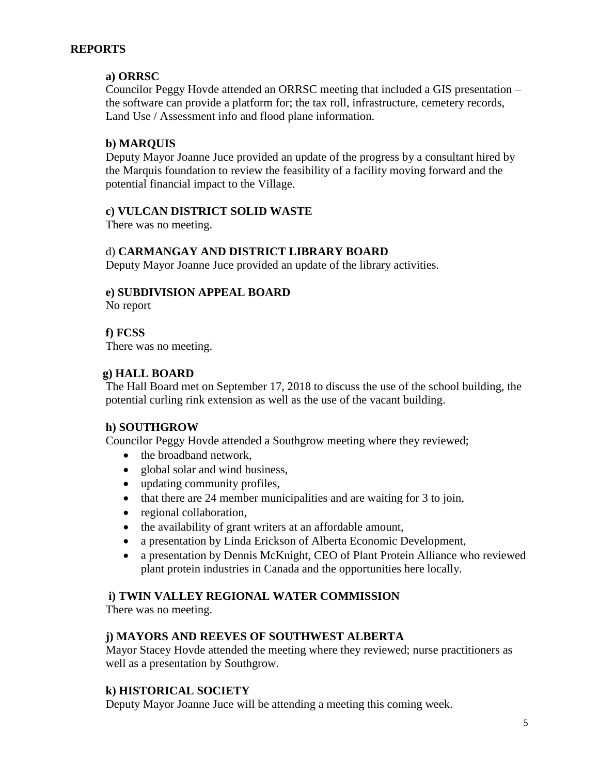# **REPORTS**

# **a) ORRSC**

Councilor Peggy Hovde attended an ORRSC meeting that included a GIS presentation – the software can provide a platform for; the tax roll, infrastructure, cemetery records, Land Use / Assessment info and flood plane information.

# **b) MARQUIS**

Deputy Mayor Joanne Juce provided an update of the progress by a consultant hired by the Marquis foundation to review the feasibility of a facility moving forward and the potential financial impact to the Village.

# **c) VULCAN DISTRICT SOLID WASTE**

There was no meeting.

# d) **CARMANGAY AND DISTRICT LIBRARY BOARD**

Deputy Mayor Joanne Juce provided an update of the library activities.

# **e) SUBDIVISION APPEAL BOARD**

No report

# **f) FCSS**

There was no meeting.

# **g) HALL BOARD**

The Hall Board met on September 17, 2018 to discuss the use of the school building, the potential curling rink extension as well as the use of the vacant building.

# **h) SOUTHGROW**

Councilor Peggy Hovde attended a Southgrow meeting where they reviewed;

- the broadband network,
- global solar and wind business,
- updating community profiles,
- $\bullet$  that there are 24 member municipalities and are waiting for 3 to join,
- regional collaboration,
- the availability of grant writers at an affordable amount,
- a presentation by Linda Erickson of Alberta Economic Development,
- a presentation by Dennis McKnight, CEO of Plant Protein Alliance who reviewed plant protein industries in Canada and the opportunities here locally.

# **i) TWIN VALLEY REGIONAL WATER COMMISSION**

There was no meeting.

# **j) MAYORS AND REEVES OF SOUTHWEST ALBERTA**

Mayor Stacey Hovde attended the meeting where they reviewed; nurse practitioners as well as a presentation by Southgrow.

# **k) HISTORICAL SOCIETY**

Deputy Mayor Joanne Juce will be attending a meeting this coming week.